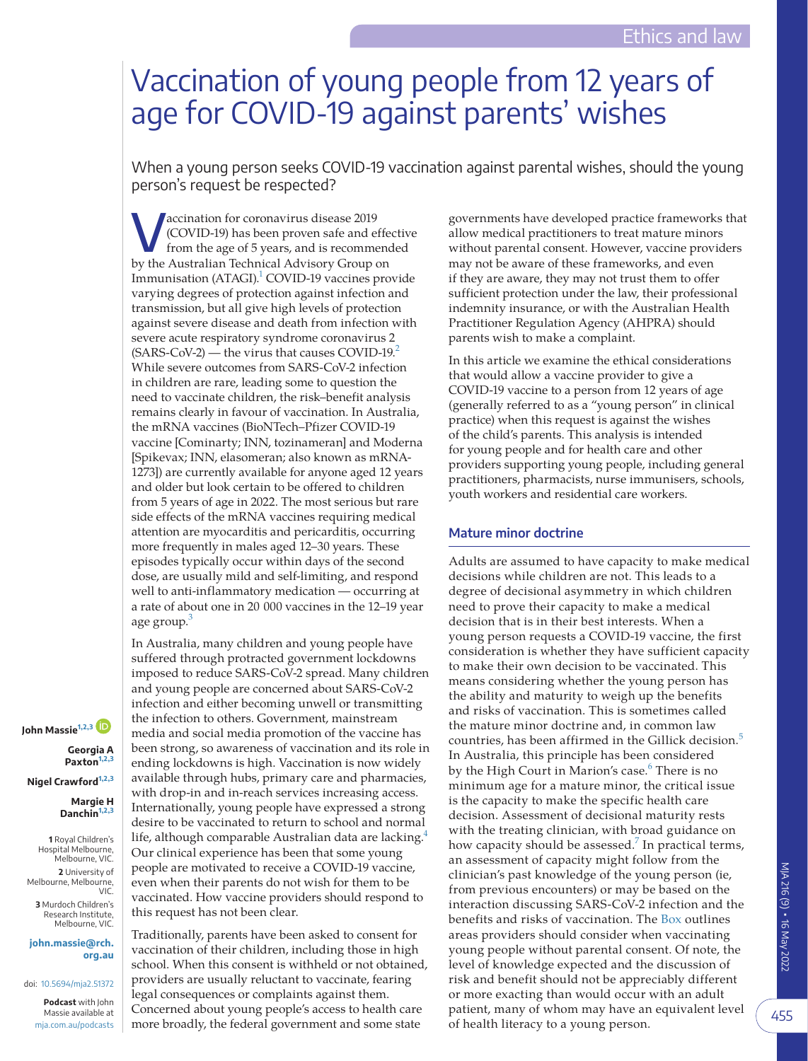# Vaccination of young people from 12 years of age for COVID-19 against parents' wishes

When a young person seeks COVID-19 vaccination against parental wishes, should the young person's request be respected?

**V**<br> **COVID-19)** has been proven safe and effective<br>
from the age of 5 years, and is recommended<br>
by Australian Table 1, and the commended (COVID-19) has been proven safe and effective by the Australian Technical Advisory Group on Immunisation (ATAGI).<sup>1</sup> COVID-19 vaccines provide varying degrees of protection against infection and transmission, but all give high levels of protection against severe disease and death from infection with severe acute respiratory syndrome coronavirus 2  $(SARS-CoV-2)$  $(SARS-CoV-2)$  $(SARS-CoV-2)$  — the virus that causes COVID-19.<sup>2</sup> While severe outcomes from SARS-CoV-2 infection in children are rare, leading some to question the need to vaccinate children, the risk–benefit analysis remains clearly in favour of vaccination. In Australia, the mRNA vaccines (BioNTech–Pfizer COVID-19 vaccine [Cominarty; INN, tozinameran] and Moderna [Spikevax; INN, elasomeran; also known as mRNA-1273]) are currently available for anyone aged 12 years and older but look certain to be offered to children from 5 years of age in 2022. The most serious but rare side effects of the mRNA vaccines requiring medical attention are myocarditis and pericarditis, occurring more frequently in males aged 12–30 years. These episodes typically occur within days of the second dose, are usually mild and self-limiting, and respond well to anti-inflammatory medication — occurring at a rate of about one in 20 000 vaccines in the 12–19 year age group.<sup>[3](#page-2-2)</sup>

In Australia, many children and young people have suffered through protracted government lockdowns imposed to reduce SARS-CoV-2 spread. Many children and young people are concerned about SARS-CoV-2 infection and either becoming unwell or transmitting the infection to others. Government, mainstream media and social media promotion of the vaccine has been strong, so awareness of vaccination and its role in ending lockdowns is high. Vaccination is now widely available through hubs, primary care and pharmacies, with drop-in and in-reach services increasing access. Internationally, young people have expressed a strong desire to be vaccinated to return to school and normal life, although comparable Australian data are lacking.<sup>4</sup> Our clinical experience has been that some young people are motivated to receive a COVID-19 vaccine, even when their parents do not wish for them to be vaccinated. How vaccine providers should respond to this request has not been clear.

Traditionally, parents have been asked to consent for vaccination of their children, including those in high school. When this consent is withheld or not obtained, providers are usually reluctant to vaccinate, fearing legal consequences or complaints against them. Concerned about young people's access to health care more broadly, the federal government and some state

governments have developed practice frameworks that allow medical practitioners to treat mature minors without parental consent. However, vaccine providers may not be aware of these frameworks, and even if they are aware, they may not trust them to offer sufficient protection under the law, their professional indemnity insurance, or with the Australian Health Practitioner Regulation Agency (AHPRA) should parents wish to make a complaint.

In this article we examine the ethical considerations that would allow a vaccine provider to give a COVID-19 vaccine to a person from 12 years of age (generally referred to as a "young person" in clinical practice) when this request is against the wishes of the child's parents. This analysis is intended for young people and for health care and other providers supporting young people, including general practitioners, pharmacists, nurse immunisers, schools, youth workers and residential care workers.

#### **Mature minor doctrine**

Adults are assumed to have capacity to make medical decisions while children are not. This leads to a degree of decisional asymmetry in which children need to prove their capacity to make a medical decision that is in their best interests. When a young person requests a COVID-19 vaccine, the first consideration is whether they have sufficient capacity to make their own decision to be vaccinated. This means considering whether the young person has the ability and maturity to weigh up the benefits and risks of vaccination. This is sometimes called the mature minor doctrine and, in common law countries, has been affirmed in the Gillick decision.<sup>[5](#page-2-4)</sup> In Australia, this principle has been considered by the High Court in Marion's case.<sup>[6](#page-2-5)</sup> There is no minimum age for a mature minor, the critical issue is the capacity to make the specific health care decision. Assessment of decisional maturity rests with the treating clinician, with broad guidance on how capacity should be assessed.<sup>[7](#page-2-6)</sup> In practical terms, an assessment of capacity might follow from the clinician's past knowledge of the young person (ie, from previous encounters) or may be based on the interaction discussing SARS-CoV-2 infection and the benefits and risks of vaccination. The [Box](#page-1-0) outlines areas providers should consider when vaccinating young people without parental consent. Of note, the level of knowledge expected and the discussion of risk and benefit should not be appreciably different or more exacting than would occur with an adult patient, many of whom may have an equivalent level of health literacy to a young person.

455

**1** Royal Children's Hospital Melbourne, **John Massie[1,2,3](#page-0-0) Georgia A Paxton[1,2,3](#page-0-0) Nigel Crawford[1,2,3](#page-0-0) Margie H Danchin[1,2,3](#page-0-0)**

<span id="page-0-0"></span>Melbourne, VIC. **2** University of Melbourne, Melbourne, VIC. **3** Murdoch Children's

Research Institute, Melbourne, VIC.

**[john.massie@rch.](mailto:john.massie@rch.org.au) [org.au](mailto:john.massie@rch.org.au)**

#### doi: [10.5694/mja2.51372](https://doi.org/10.5694/mja2.51372)

**Podcast** with John Massie available at [mja.com.au/podcasts](https://mja.com.au/podcasts)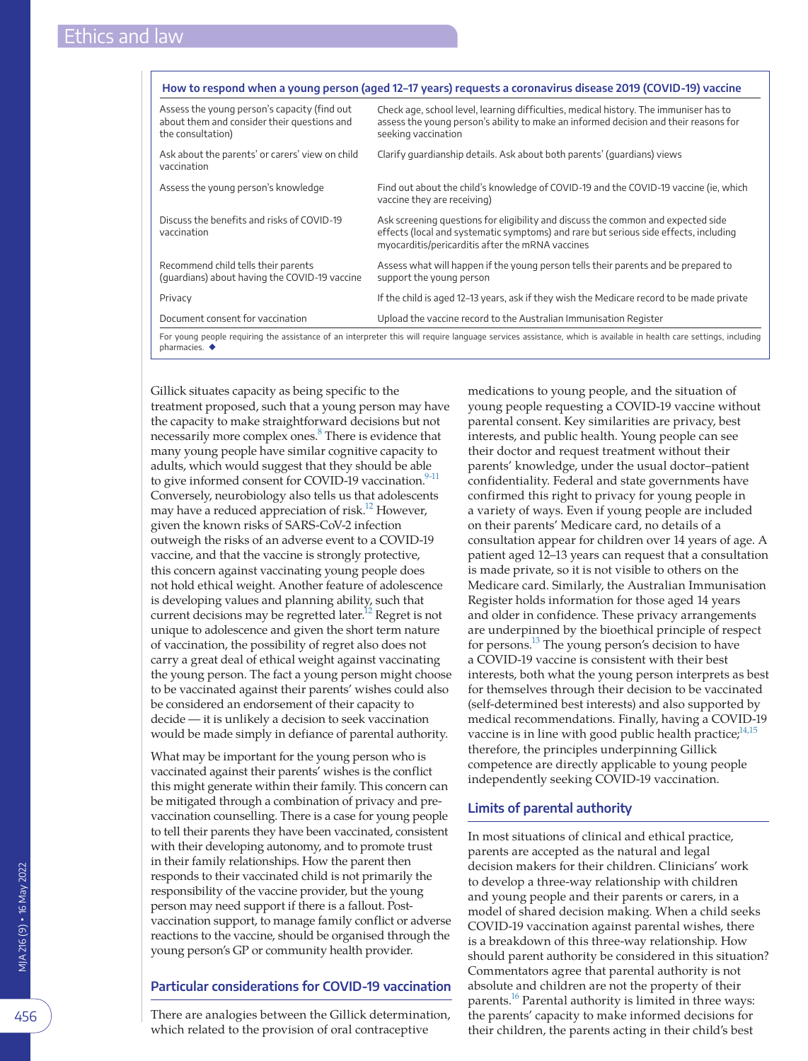<span id="page-1-0"></span>

| How to respond when a young person (aged 12-17 years) requests a coronavirus disease 2019 (COVID-19) vaccine                                                                     |                                                                                                                                                                                                                              |
|----------------------------------------------------------------------------------------------------------------------------------------------------------------------------------|------------------------------------------------------------------------------------------------------------------------------------------------------------------------------------------------------------------------------|
| Assess the young person's capacity (find out<br>about them and consider their questions and<br>the consultation)                                                                 | Check age, school level, learning difficulties, medical history. The immuniser has to<br>assess the young person's ability to make an informed decision and their reasons for<br>seeking vaccination                         |
| Ask about the parents' or carers' view on child<br>vaccination                                                                                                                   | Clarify quardianship details. Ask about both parents' (quardians) views                                                                                                                                                      |
| Assess the young person's knowledge                                                                                                                                              | Find out about the child's knowledge of COVID-19 and the COVID-19 vaccine (ie, which<br>vaccine they are receiving)                                                                                                          |
| Discuss the benefits and risks of COVID-19<br>vaccination                                                                                                                        | Ask screening questions for eligibility and discuss the common and expected side<br>effects (local and systematic symptoms) and rare but serious side effects, including<br>myocarditis/pericarditis after the mRNA vaccines |
| Recommend child tells their parents<br>(guardians) about having the COVID-19 vaccine                                                                                             | Assess what will happen if the young person tells their parents and be prepared to<br>support the young person                                                                                                               |
| Privacy                                                                                                                                                                          | If the child is aged 12–13 years, ask if they wish the Medicare record to be made private                                                                                                                                    |
| Document consent for vaccination                                                                                                                                                 | Upload the vaccine record to the Australian Immunisation Register                                                                                                                                                            |
| For young people requiring the assistance of an interpreter this will require language services assistance, which is available in health care settings, including<br>pharmacies. |                                                                                                                                                                                                                              |

Gillick situates capacity as being specific to the treatment proposed, such that a young person may have the capacity to make straightforward decisions but not necessarily more complex ones.<sup>8</sup> There is evidence that many young people have similar cognitive capacity to adults, which would suggest that they should be able to give informed consent for COVID-19 vaccination.<sup>9-11</sup> Conversely, neurobiology also tells us that adolescents may have a reduced appreciation of risk.<sup>12</sup> However, given the known risks of SARS-CoV-2 infection outweigh the risks of an adverse event to a COVID-19 vaccine, and that the vaccine is strongly protective, this concern against vaccinating young people does not hold ethical weight. Another feature of adolescence is developing values and planning ability, such that current decisions may be regretted later.<sup>12</sup> Regret is not unique to adolescence and given the short term nature of vaccination, the possibility of regret also does not carry a great deal of ethical weight against vaccinating the young person. The fact a young person might choose to be vaccinated against their parents' wishes could also be considered an endorsement of their capacity to decide — it is unlikely a decision to seek vaccination would be made simply in defiance of parental authority.

What may be important for the young person who is vaccinated against their parents' wishes is the conflict this might generate within their family. This concern can be mitigated through a combination of privacy and prevaccination counselling. There is a case for young people to tell their parents they have been vaccinated, consistent with their developing autonomy, and to promote trust in their family relationships. How the parent then responds to their vaccinated child is not primarily the responsibility of the vaccine provider, but the young person may need support if there is a fallout. Postvaccination support, to manage family conflict or adverse reactions to the vaccine, should be organised through the young person's GP or community health provider.

# **Particular considerations for COVID-19 vaccination**

There are analogies between the Gillick determination, which related to the provision of oral contraceptive

medications to young people, and the situation of young people requesting a COVID-19 vaccine without parental consent. Key similarities are privacy, best interests, and public health. Young people can see their doctor and request treatment without their parents' knowledge, under the usual doctor–patient confidentiality. Federal and state governments have confirmed this right to privacy for young people in a variety of ways. Even if young people are included on their parents' Medicare card, no details of a consultation appear for children over 14 years of age. A patient aged 12–13 years can request that a consultation is made private, so it is not visible to others on the Medicare card. Similarly, the Australian Immunisation Register holds information for those aged 14 years and older in confidence. These privacy arrangements are underpinned by the bioethical principle of respect for persons.<sup>13</sup> The young person's decision to have a COVID-19 vaccine is consistent with their best interests, both what the young person interprets as best for themselves through their decision to be vaccinated (self-determined best interests) and also supported by medical recommendations. Finally, having a COVID-19 vaccine is in line with good public health practice; $14,15$ therefore, the principles underpinning Gillick competence are directly applicable to young people independently seeking COVID-19 vaccination.

# **Limits of parental authority**

In most situations of clinical and ethical practice, parents are accepted as the natural and legal decision makers for their children. Clinicians' work to develop a three-way relationship with children and young people and their parents or carers, in a model of shared decision making. When a child seeks COVID-19 vaccination against parental wishes, there is a breakdown of this three-way relationship. How should parent authority be considered in this situation? Commentators agree that parental authority is not absolute and children are not the property of their parents.<sup>16</sup> Parental authority is limited in three ways: the parents' capacity to make informed decisions for their children, the parents acting in their child's best